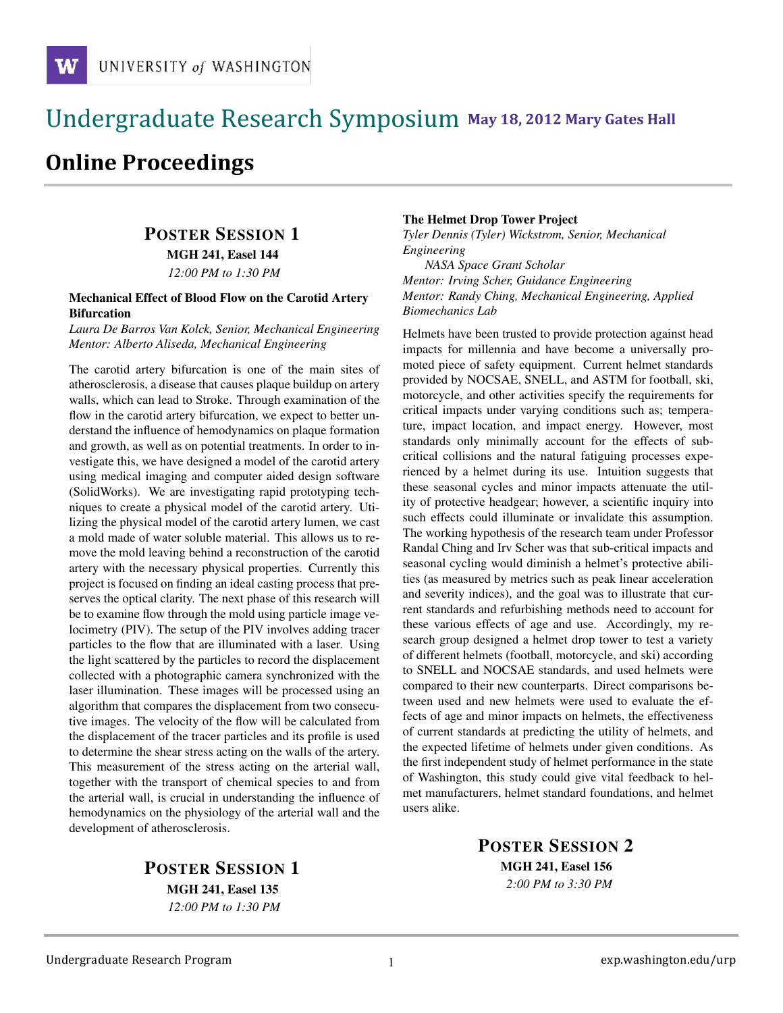## !!!!!!!!!!!!!!!!!!!!!!!!!!!!!!!!!!!!!!!!!!!!!!!!!!!!!!!!!!!!!!!!!!!!!!!!!!!!!!!!!!!!!!!!!!!!!!!!! **111 May 18, 2012 Mary Gates Hall** !!!!!!!!!!!!!!!!!!!!!!!!!!!!!!!!!!!!!!!!!!!!!!!!!!!!!!!!!!!!!!!!!!!!!!!!!!!!!!!!!!

# **Online Proceedings**

# POSTER SESSION 1

MGH 241, Easel 144

*12:00 PM to 1:30 PM*

#### Mechanical Effect of Blood Flow on the Carotid Artery Bifurcation

*Laura De Barros Van Kolck, Senior, Mechanical Engineering Mentor: Alberto Aliseda, Mechanical Engineering*

The carotid artery bifurcation is one of the main sites of atherosclerosis, a disease that causes plaque buildup on artery walls, which can lead to Stroke. Through examination of the flow in the carotid artery bifurcation, we expect to better understand the influence of hemodynamics on plaque formation and growth, as well as on potential treatments. In order to investigate this, we have designed a model of the carotid artery using medical imaging and computer aided design software (SolidWorks). We are investigating rapid prototyping techniques to create a physical model of the carotid artery. Utilizing the physical model of the carotid artery lumen, we cast a mold made of water soluble material. This allows us to remove the mold leaving behind a reconstruction of the carotid artery with the necessary physical properties. Currently this project is focused on finding an ideal casting process that preserves the optical clarity. The next phase of this research will be to examine flow through the mold using particle image velocimetry (PIV). The setup of the PIV involves adding tracer particles to the flow that are illuminated with a laser. Using the light scattered by the particles to record the displacement collected with a photographic camera synchronized with the laser illumination. These images will be processed using an algorithm that compares the displacement from two consecutive images. The velocity of the flow will be calculated from the displacement of the tracer particles and its profile is used to determine the shear stress acting on the walls of the artery. This measurement of the stress acting on the arterial wall, together with the transport of chemical species to and from the arterial wall, is crucial in understanding the influence of hemodynamics on the physiology of the arterial wall and the development of atherosclerosis.

> POSTER SESSION 1 MGH 241, Easel 135 *12:00 PM to 1:30 PM*

### The Helmet Drop Tower Project

*Tyler Dennis (Tyler) Wickstrom, Senior, Mechanical Engineering NASA Space Grant Scholar Mentor: Irving Scher, Guidance Engineering Mentor: Randy Ching, Mechanical Engineering, Applied Biomechanics Lab*

Helmets have been trusted to provide protection against head impacts for millennia and have become a universally promoted piece of safety equipment. Current helmet standards provided by NOCSAE, SNELL, and ASTM for football, ski, motorcycle, and other activities specify the requirements for critical impacts under varying conditions such as; temperature, impact location, and impact energy. However, most standards only minimally account for the effects of subcritical collisions and the natural fatiguing processes experienced by a helmet during its use. Intuition suggests that these seasonal cycles and minor impacts attenuate the utility of protective headgear; however, a scientific inquiry into such effects could illuminate or invalidate this assumption. The working hypothesis of the research team under Professor Randal Ching and Irv Scher was that sub-critical impacts and seasonal cycling would diminish a helmet's protective abilities (as measured by metrics such as peak linear acceleration and severity indices), and the goal was to illustrate that current standards and refurbishing methods need to account for these various effects of age and use. Accordingly, my research group designed a helmet drop tower to test a variety of different helmets (football, motorcycle, and ski) according to SNELL and NOCSAE standards, and used helmets were compared to their new counterparts. Direct comparisons between used and new helmets were used to evaluate the effects of age and minor impacts on helmets, the effectiveness of current standards at predicting the utility of helmets, and the expected lifetime of helmets under given conditions. As the first independent study of helmet performance in the state of Washington, this study could give vital feedback to helmet manufacturers, helmet standard foundations, and helmet users alike.

> POSTER SESSION 2 MGH 241, Easel 156

> > *2:00 PM to 3:30 PM*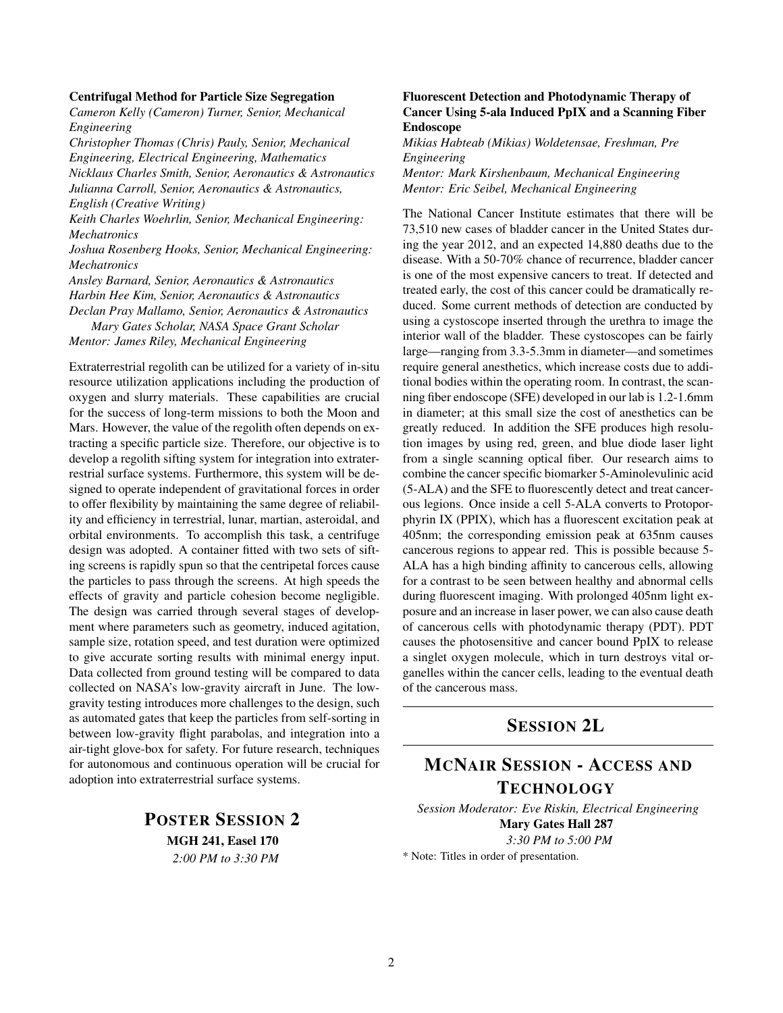#### Centrifugal Method for Particle Size Segregation

*Cameron Kelly (Cameron) Turner, Senior, Mechanical Engineering*

*Christopher Thomas (Chris) Pauly, Senior, Mechanical Engineering, Electrical Engineering, Mathematics Nicklaus Charles Smith, Senior, Aeronautics & Astronautics Julianna Carroll, Senior, Aeronautics & Astronautics, English (Creative Writing)*

*Keith Charles Woehrlin, Senior, Mechanical Engineering: Mechatronics*

*Joshua Rosenberg Hooks, Senior, Mechanical Engineering: Mechatronics*

*Ansley Barnard, Senior, Aeronautics & Astronautics Harbin Hee Kim, Senior, Aeronautics & Astronautics Declan Pray Mallamo, Senior, Aeronautics & Astronautics Mary Gates Scholar, NASA Space Grant Scholar*

*Mentor: James Riley, Mechanical Engineering*

Extraterrestrial regolith can be utilized for a variety of in-situ resource utilization applications including the production of oxygen and slurry materials. These capabilities are crucial for the success of long-term missions to both the Moon and Mars. However, the value of the regolith often depends on extracting a specific particle size. Therefore, our objective is to develop a regolith sifting system for integration into extraterrestrial surface systems. Furthermore, this system will be designed to operate independent of gravitational forces in order to offer flexibility by maintaining the same degree of reliability and efficiency in terrestrial, lunar, martian, asteroidal, and orbital environments. To accomplish this task, a centrifuge design was adopted. A container fitted with two sets of sifting screens is rapidly spun so that the centripetal forces cause the particles to pass through the screens. At high speeds the effects of gravity and particle cohesion become negligible. The design was carried through several stages of development where parameters such as geometry, induced agitation, sample size, rotation speed, and test duration were optimized to give accurate sorting results with minimal energy input. Data collected from ground testing will be compared to data collected on NASA's low-gravity aircraft in June. The lowgravity testing introduces more challenges to the design, such as automated gates that keep the particles from self-sorting in between low-gravity flight parabolas, and integration into a air-tight glove-box for safety. For future research, techniques for autonomous and continuous operation will be crucial for adoption into extraterrestrial surface systems.

> POSTER SESSION 2 MGH 241, Easel 170 *2:00 PM to 3:30 PM*

## Fluorescent Detection and Photodynamic Therapy of Cancer Using 5-ala Induced PpIX and a Scanning Fiber Endoscope

*Mikias Habteab (Mikias) Woldetensae, Freshman, Pre Engineering*

*Mentor: Mark Kirshenbaum, Mechanical Engineering Mentor: Eric Seibel, Mechanical Engineering*

The National Cancer Institute estimates that there will be 73,510 new cases of bladder cancer in the United States during the year 2012, and an expected 14,880 deaths due to the disease. With a 50-70% chance of recurrence, bladder cancer is one of the most expensive cancers to treat. If detected and treated early, the cost of this cancer could be dramatically reduced. Some current methods of detection are conducted by using a cystoscope inserted through the urethra to image the interior wall of the bladder. These cystoscopes can be fairly large—ranging from 3.3-5.3mm in diameter—and sometimes require general anesthetics, which increase costs due to additional bodies within the operating room. In contrast, the scanning fiber endoscope (SFE) developed in our lab is 1.2-1.6mm in diameter; at this small size the cost of anesthetics can be greatly reduced. In addition the SFE produces high resolution images by using red, green, and blue diode laser light from a single scanning optical fiber. Our research aims to combine the cancer specific biomarker 5-Aminolevulinic acid (5-ALA) and the SFE to fluorescently detect and treat cancerous legions. Once inside a cell 5-ALA converts to Protoporphyrin IX (PPIX), which has a fluorescent excitation peak at 405nm; the corresponding emission peak at 635nm causes cancerous regions to appear red. This is possible because 5- ALA has a high binding affinity to cancerous cells, allowing for a contrast to be seen between healthy and abnormal cells during fluorescent imaging. With prolonged 405nm light exposure and an increase in laser power, we can also cause death of cancerous cells with photodynamic therapy (PDT). PDT causes the photosensitive and cancer bound PpIX to release a singlet oxygen molecule, which in turn destroys vital organelles within the cancer cells, leading to the eventual death of the cancerous mass.

## SESSION 2L

## MCNAIR SESSION - ACCESS AND TECHNOLOGY

*Session Moderator: Eve Riskin, Electrical Engineering* Mary Gates Hall 287 *3:30 PM to 5:00 PM*

\* Note: Titles in order of presentation.